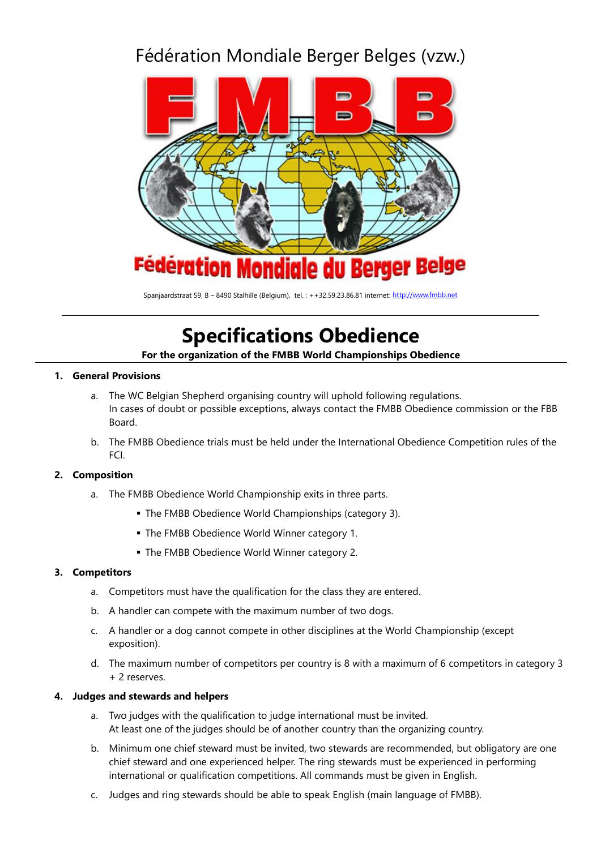# Fédération Mondiale Berger Belges (vzw.)



Spanjaardstraat 59, B – 8490 Stalhille (Belgium), tel. : ++32.59.23.86.81 internet[: http://www.fmbb.net](http://www.fmbb.net/)

# **Specifications Obedience**

**For the organization of the FMBB World Championships Obedience**

# **1. General Provisions**

- a. The WC Belgian Shepherd organising country will uphold following regulations. In cases of doubt or possible exceptions, always contact the FMBB Obedience commission or the FBB Board.
- b. The FMBB Obedience trials must be held under the International Obedience Competition rules of the FCI.

# **2. Composition**

- a. The FMBB Obedience World Championship exits in three parts.
	- **The FMBB Obedience World Championships (category 3).**
	- The FMBB Obedience World Winner category 1.
	- The FMBB Obedience World Winner category 2.

#### **3. Competitors**

- a. Competitors must have the qualification for the class they are entered.
- b. A handler can compete with the maximum number of two dogs.
- c. A handler or a dog cannot compete in other disciplines at the World Championship (except exposition).
- d. The maximum number of competitors per country is 8 with a maximum of 6 competitors in category 3 + 2 reserves.

#### **4. Judges and stewards and helpers**

- a. Two judges with the qualification to judge international must be invited. At least one of the judges should be of another country than the organizing country.
- b. Minimum one chief steward must be invited, two stewards are recommended, but obligatory are one chief steward and one experienced helper. The ring stewards must be experienced in performing international or qualification competitions. All commands must be given in English.
- c. Judges and ring stewards should be able to speak English (main language of FMBB).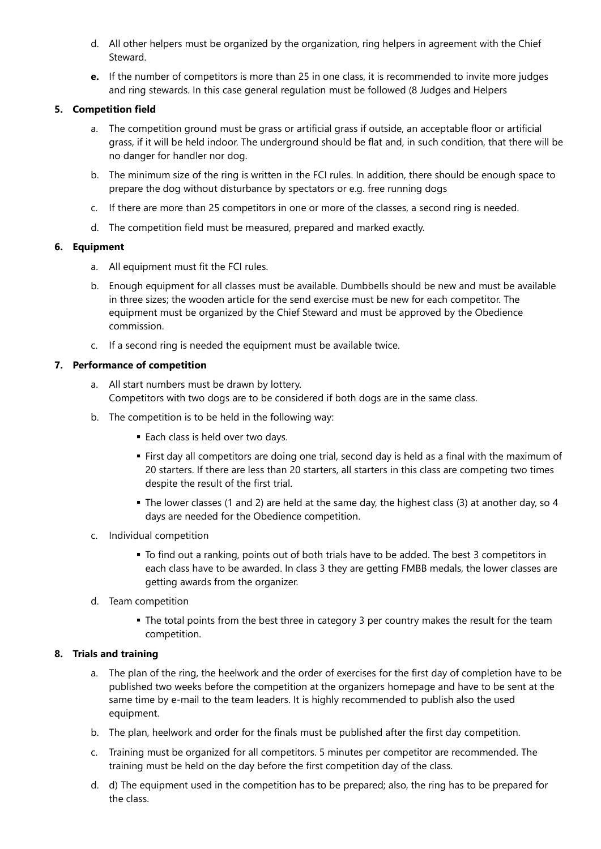- d. All other helpers must be organized by the organization, ring helpers in agreement with the Chief Steward.
- **e.** If the number of competitors is more than 25 in one class, it is recommended to invite more judges and ring stewards. In this case general regulation must be followed (8 Judges and Helpers

#### **5. Competition field**

- a. The competition ground must be grass or artificial grass if outside, an acceptable floor or artificial grass, if it will be held indoor. The underground should be flat and, in such condition, that there will be no danger for handler nor dog.
- b. The minimum size of the ring is written in the FCI rules. In addition, there should be enough space to prepare the dog without disturbance by spectators or e.g. free running dogs
- c. If there are more than 25 competitors in one or more of the classes, a second ring is needed.
- d. The competition field must be measured, prepared and marked exactly.

#### **6. Equipment**

- a. All equipment must fit the FCI rules.
- b. Enough equipment for all classes must be available. Dumbbells should be new and must be available in three sizes; the wooden article for the send exercise must be new for each competitor. The equipment must be organized by the Chief Steward and must be approved by the Obedience commission.
- c. If a second ring is needed the equipment must be available twice.

#### **7. Performance of competition**

- a. All start numbers must be drawn by lottery. Competitors with two dogs are to be considered if both dogs are in the same class.
- b. The competition is to be held in the following way:
	- Each class is held over two days.
	- **.** First day all competitors are doing one trial, second day is held as a final with the maximum of 20 starters. If there are less than 20 starters, all starters in this class are competing two times despite the result of the first trial.
	- . The lower classes (1 and 2) are held at the same day, the highest class (3) at another day, so 4 days are needed for the Obedience competition.
- c. Individual competition
	- To find out a ranking, points out of both trials have to be added. The best 3 competitors in each class have to be awarded. In class 3 they are getting FMBB medals, the lower classes are getting awards from the organizer.
- d. Team competition
	- **•** The total points from the best three in category 3 per country makes the result for the team competition.

# **8. Trials and training**

- a. The plan of the ring, the heelwork and the order of exercises for the first day of completion have to be published two weeks before the competition at the organizers homepage and have to be sent at the same time by e-mail to the team leaders. It is highly recommended to publish also the used equipment.
- b. The plan, heelwork and order for the finals must be published after the first day competition.
- c. Training must be organized for all competitors. 5 minutes per competitor are recommended. The training must be held on the day before the first competition day of the class.
- d. d) The equipment used in the competition has to be prepared; also, the ring has to be prepared for the class.